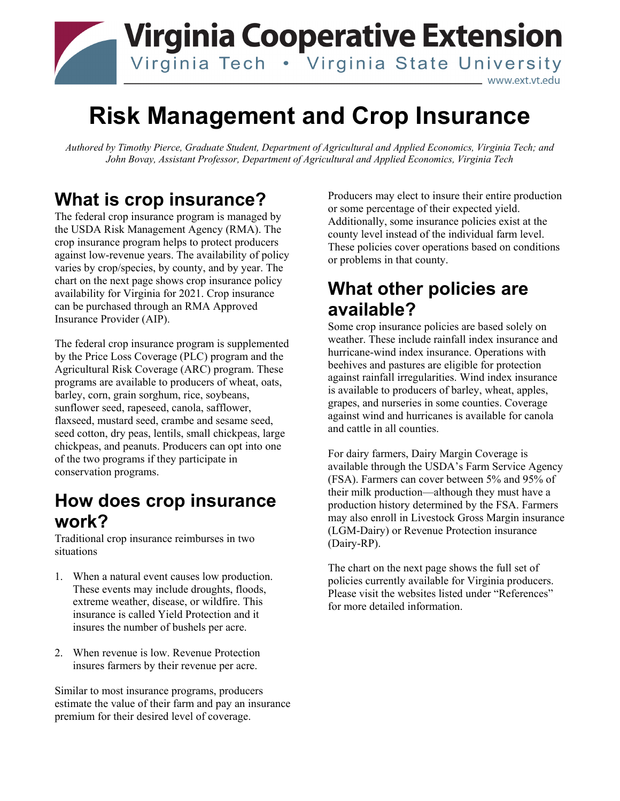

# **Risk Management and Crop Insurance**

*Authored by Timothy Pierce, Graduate Student, Department of Agricultural and Applied Economics, Virginia Tech; and John Bovay, Assistant Professor, Department of Agricultural and Applied Economics, Virginia Tech*

# **What is crop insurance?**

The federal crop insurance program is managed by the USDA Risk Management Agency (RMA). The crop insurance program helps to protect producers against low-revenue years. The availability of policy varies by crop/species, by county, and by year. The chart on the next page shows crop insurance policy availability for Virginia for 2021. Crop insurance can be purchased through an RMA Approved Insurance Provider (AIP).

The federal crop insurance program is supplemented by the Price Loss Coverage (PLC) program and the Agricultural Risk Coverage (ARC) program. These programs are available to producers of wheat, oats, barley, corn, grain sorghum, rice, soybeans, sunflower seed, rapeseed, canola, safflower, flaxseed, mustard seed, crambe and sesame seed, seed cotton, dry peas, lentils, small chickpeas, large chickpeas, and peanuts. Producers can opt into one of the two programs if they participate in conservation programs.

#### **How does crop insurance work?**

Traditional crop insurance reimburses in two situations

- 1. When a natural event causes low production. These events may include droughts, floods, extreme weather, disease, or wildfire. This insurance is called Yield Protection and it insures the number of bushels per acre.
- 2. When revenue is low. Revenue Protection insures farmers by their revenue per acre.

Similar to most insurance programs, producers estimate the value of their farm and pay an insurance premium for their desired level of coverage.

Producers may elect to insure their entire production or some percentage of their expected yield. Additionally, some insurance policies exist at the county level instead of the individual farm level. These policies cover operations based on conditions or problems in that county.

#### **What other policies are available?**

Some crop insurance policies are based solely on weather. These include rainfall index insurance and hurricane-wind index insurance. Operations with beehives and pastures are eligible for protection against rainfall irregularities. Wind index insurance is available to producers of barley, wheat, apples, grapes, and nurseries in some counties. Coverage against wind and hurricanes is available for canola and cattle in all counties.

For dairy farmers, Dairy Margin Coverage is available through the USDA's Farm Service Agency (FSA). Farmers can cover between 5% and 95% of their milk production—although they must have a production history determined by the FSA. Farmers may also enroll in Livestock Gross Margin insurance (LGM-Dairy) or Revenue Protection insurance (Dairy-RP).

The chart on the next page shows the full set of policies currently available for Virginia producers. Please visit the websites listed under "References" for more detailed information.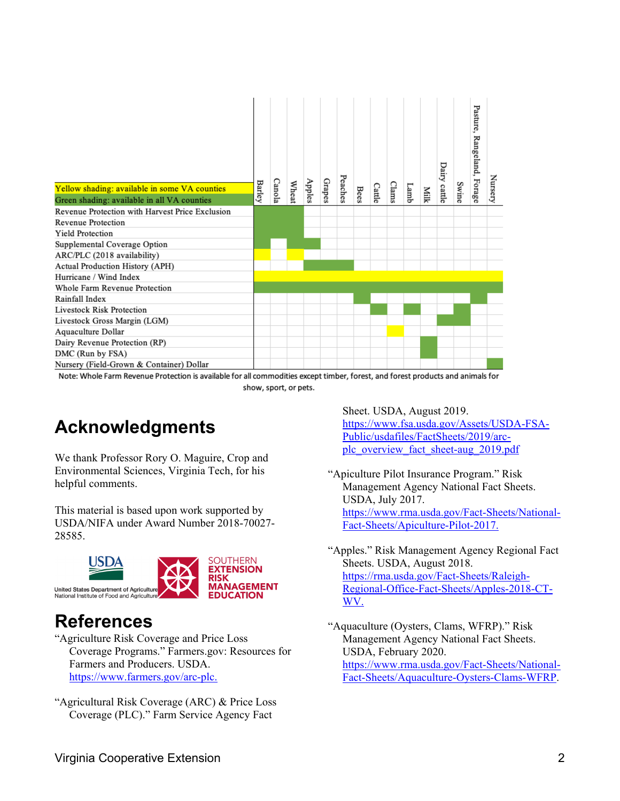| Yellow shading: available in some VA counties<br>Green shading: available in all VA counties | <b>Barley</b> | Canola | Wheat | Apples | Grapes | Peaches | Bees | Cattle | Clams | Lamb | Milk | Dairy cattle | Swine | Pasture,<br>Rangeland, Forage | Nursery |
|----------------------------------------------------------------------------------------------|---------------|--------|-------|--------|--------|---------|------|--------|-------|------|------|--------------|-------|-------------------------------|---------|
| Revenue Protection with Harvest Price Exclusion                                              |               |        |       |        |        |         |      |        |       |      |      |              |       |                               |         |
| <b>Revenue Protection</b>                                                                    |               |        |       |        |        |         |      |        |       |      |      |              |       |                               |         |
| <b>Yield Protection</b>                                                                      |               |        |       |        |        |         |      |        |       |      |      |              |       |                               |         |
| Supplemental Coverage Option                                                                 |               |        |       |        |        |         |      |        |       |      |      |              |       |                               |         |
| ARC/PLC (2018 availability)                                                                  |               |        |       |        |        |         |      |        |       |      |      |              |       |                               |         |
| Actual Production History (APH)                                                              |               |        |       |        |        |         |      |        |       |      |      |              |       |                               |         |
| Hurricane / Wind Index                                                                       |               |        |       |        |        |         |      |        |       |      |      |              |       |                               |         |
| Whole Farm Revenue Protection                                                                |               |        |       |        |        |         |      |        |       |      |      |              |       |                               |         |
| Rainfall Index                                                                               |               |        |       |        |        |         |      |        |       |      |      |              |       |                               |         |
| <b>Livestock Risk Protection</b>                                                             |               |        |       |        |        |         |      |        |       |      |      |              |       |                               |         |
| Livestock Gross Margin (LGM)                                                                 |               |        |       |        |        |         |      |        |       |      |      |              |       |                               |         |
| Aquaculture Dollar                                                                           |               |        |       |        |        |         |      |        |       |      |      |              |       |                               |         |
| Dairy Revenue Protection (RP)                                                                |               |        |       |        |        |         |      |        |       |      |      |              |       |                               |         |
| DMC (Run by FSA)                                                                             |               |        |       |        |        |         |      |        |       |      |      |              |       |                               |         |
| Nursery (Field-Grown & Container) Dollar                                                     |               |        |       |        |        |         |      |        |       |      |      |              |       |                               |         |

Note: Whole Farm Revenue Protection is available for all commodities except timber, forest, and forest products and animals for show, sport, or pets.

## **Acknowledgments**

We thank Professor Rory O. Maguire, Crop and Environmental Sciences, Virginia Tech, for his helpful comments.

This material is based upon work supported by USDA/NIFA under Award Number 2018-70027- 28585.



## **References**

"Agriculture Risk Coverage and Price Loss Coverage Programs." Farmers.gov: Resources for Farmers and Producers. USDA. [https://www.farmers.gov/arc-plc.](https://www.farmers.gov/arc-plc)

"Agricultural Risk Coverage (ARC) & Price Loss Coverage (PLC)." Farm Service Agency Fact

Sheet. USDA, August 2019. [https://www.fsa.usda.gov/Assets/USDA-FSA-](https://www.fsa.usda.gov/Assets/USDA-FSA-Public/usdafiles/FactSheets/2019/arc-plc_overview_fact_sheet-aug_2019.pdf)[Public/usdafiles/FactSheets/2019/arc](https://www.fsa.usda.gov/Assets/USDA-FSA-Public/usdafiles/FactSheets/2019/arc-plc_overview_fact_sheet-aug_2019.pdf)[plc\\_overview\\_fact\\_sheet-aug\\_2019.pdf](https://www.fsa.usda.gov/Assets/USDA-FSA-Public/usdafiles/FactSheets/2019/arc-plc_overview_fact_sheet-aug_2019.pdf)

"Apiculture Pilot Insurance Program." Risk Management Agency National Fact Sheets. USDA, July 2017. [https://www.rma.usda.gov/Fact-Sheets/National-](https://www.rma.usda.gov/Fact-Sheets/National-Fact-Sheets/Apiculture-Pilot-2017.)[Fact-Sheets/Apiculture-Pilot-2017.](https://www.rma.usda.gov/Fact-Sheets/National-Fact-Sheets/Apiculture-Pilot-2017.) 

"Apples." Risk Management Agency Regional Fact Sheets. USDA, August 2018. [https://rma.usda.gov/Fact-Sheets/Raleigh-](https://rma.usda.gov/Fact-Sheets/Raleigh-Regional-Office-Fact-Sheets/Apples-2018-CT-WV.)[Regional-Office-Fact-Sheets/Apples-2018-CT-](https://rma.usda.gov/Fact-Sheets/Raleigh-Regional-Office-Fact-Sheets/Apples-2018-CT-WV.)[WV.](https://rma.usda.gov/Fact-Sheets/Raleigh-Regional-Office-Fact-Sheets/Apples-2018-CT-WV.) 

<sup>&</sup>quot;Aquaculture (Oysters, Clams, WFRP)." Risk Management Agency National Fact Sheets. USDA, February 2020. [https://www.rma.usda.gov/Fact-Sheets/National-](https://rma.usda.gov/Fact-Sheets/Raleigh-Regional-Office-Fact-Sheets/Apples-2018-CT-WV)[Fact-Sheets/Aquaculture-Oysters-Clams-WFRP.](https://rma.usda.gov/Fact-Sheets/Raleigh-Regional-Office-Fact-Sheets/Apples-2018-CT-WV)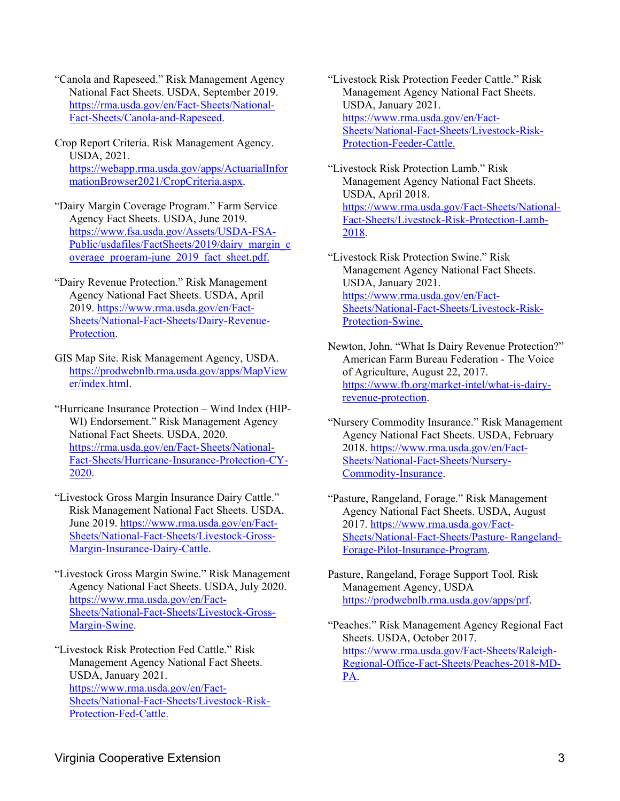- "Canola and Rapeseed." Risk Management Agency National Fact Sheets. USDA, September 2019. [https://rma.usda.gov/en/Fact- Sheets/National-](https://rma.usda.gov/en/Fact-Sheets/National-Fact-Sheets/Canola-and-Rapeseed)[Fact-Sheets/Canola-and-Rapeseed.](https://rma.usda.gov/en/Fact-Sheets/National-Fact-Sheets/Canola-and-Rapeseed)
- Crop Report Criteria. Risk Management Agency. USDA, 2021. [https://webapp.rma.usda.gov/apps/ActuarialInfor](https://webapp.rma.usda.gov/apps/ActuarialInformationBrowser2021/CropCriteria.aspx) [mationBrowser2021/CropCriteria.aspx.](https://webapp.rma.usda.gov/apps/ActuarialInformationBrowser2021/CropCriteria.aspx)
- "Dairy Margin Coverage Program." Farm Service Agency Fact Sheets. USDA, June 2019. [https://www.fsa.usda.gov/Assets/USDA-FSA-](https://www.fsa.usda.gov/Assets/USDA-FSA-Public/usdafiles/FactSheets/2019/dairy_margin_coverage_program-june_2019_fact_sheet.pdf)[Public/usdafiles/FactSheets/2019/dairy\\_margin\\_c](https://www.fsa.usda.gov/Assets/USDA-FSA-Public/usdafiles/FactSheets/2019/dairy_margin_coverage_program-june_2019_fact_sheet.pdf) [overage\\_program-june\\_2019\\_fact\\_sheet.pdf.](https://www.fsa.usda.gov/Assets/USDA-FSA-Public/usdafiles/FactSheets/2019/dairy_margin_coverage_program-june_2019_fact_sheet.pdf)
- "Dairy Revenue Protection." Risk Management Agency National Fact Sheets. USDA, April 2019. [https://www.rma.usda.gov/en/Fact-](https://www.rma.usda.gov/en/Fact-Sheets/National-Fact-Sheets/Dairy-Revenue-Protection)[Sheets/National-Fact-Sheets/Dairy-Revenue-](https://www.rma.usda.gov/en/Fact-Sheets/National-Fact-Sheets/Dairy-Revenue-Protection)[Protection.](https://www.rma.usda.gov/en/Fact-Sheets/National-Fact-Sheets/Dairy-Revenue-Protection)
- GIS Map Site. Risk Management Agency, USDA. [https://prodwebnlb.rma.usda.gov/apps/MapView](https://prodwebnlb.rma.usda.gov/apps/MapViewer/index.html) [er/index.html.](https://prodwebnlb.rma.usda.gov/apps/MapViewer/index.html)
- "Hurricane Insurance Protection Wind Index (HIP-WI) Endorsement." Risk Management Agency National Fact Sheets. USDA, 2020. [https://rma.usda.gov/en/Fact- Sheets/National-](https://rma.usda.gov/en/Fact-Sheets/National-Fact-Sheets/Hurricane-Insurance-Protection-CY-2020)[Fact-Sheets/Hurricane-Insurance-Protection-CY-](https://rma.usda.gov/en/Fact-Sheets/National-Fact-Sheets/Hurricane-Insurance-Protection-CY-2020)[2020.](https://rma.usda.gov/en/Fact-Sheets/National-Fact-Sheets/Hurricane-Insurance-Protection-CY-2020)
- "Livestock Gross Margin Insurance Dairy Cattle." Risk Management National Fact Sheets. USDA, June 2019. [https://www.rma.usda.gov/en/Fact-](https://www.rma.usda.gov/en/Fact-Sheets/National-Fact-Sheets/Livestock-Gross-Margin-Insurance-Dairy-Cattle)[Sheets/National-Fact-Sheets/Livestock-Gross-](https://www.rma.usda.gov/en/Fact-Sheets/National-Fact-Sheets/Livestock-Gross-Margin-Insurance-Dairy-Cattle)[Margin-Insurance-Dairy-Cattle.](https://www.rma.usda.gov/en/Fact-Sheets/National-Fact-Sheets/Livestock-Gross-Margin-Insurance-Dairy-Cattle)
- "Livestock Gross Margin Swine." Risk Management Agency National Fact Sheets. USDA, July 2020. [https://www.rma.usda.gov/en/Fact-](https://www.rma.usda.gov/en/Fact-Sheets/National-Fact-Sheets/Livestock-Gross-Margin-Swine)[Sheets/National-Fact-Sheets/Livestock-Gross-](https://www.rma.usda.gov/en/Fact-Sheets/National-Fact-Sheets/Livestock-Gross-Margin-Swine)[Margin-Swine.](https://www.rma.usda.gov/en/Fact-Sheets/National-Fact-Sheets/Livestock-Gross-Margin-Swine)
- "Livestock Risk Protection Fed Cattle." Risk Management Agency National Fact Sheets. USDA, January 2021. [https://www.rma.usda.gov/en/Fact-](https://www.rma.usda.gov/en/Fact-Sheets/National-Fact-Sheets/Livestock-Risk-Protection-Fed-Cattle)[Sheets/National-Fact-Sheets/Livestock-Risk-](https://www.rma.usda.gov/en/Fact-Sheets/National-Fact-Sheets/Livestock-Risk-Protection-Fed-Cattle)[Protection-Fed-Cattle.](https://www.rma.usda.gov/en/Fact-Sheets/National-Fact-Sheets/Livestock-Risk-Protection-Fed-Cattle)
- "Livestock Risk Protection Feeder Cattle." Risk Management Agency National Fact Sheets. USDA, January 2021. [https://www.rma.usda.gov/en/Fact-](https://www.rma.usda.gov/en/Fact-Sheets/National-Fact-Sheets/Livestock-Risk-Protection-Feeder-Cattle)[Sheets/National-Fact-Sheets/Livestock-Risk-](https://www.rma.usda.gov/en/Fact-Sheets/National-Fact-Sheets/Livestock-Risk-Protection-Feeder-Cattle)[Protection-Feeder-Cattle.](https://www.rma.usda.gov/en/Fact-Sheets/National-Fact-Sheets/Livestock-Risk-Protection-Feeder-Cattle)
- "Livestock Risk Protection Lamb." Risk Management Agency National Fact Sheets. USDA, April 2018. [https://www.rma.usda.gov/Fact-Sheets/National-](https://www.rma.usda.gov/Fact-Sheets/National-Fact-Sheets/Livestock-Risk-Protection-Lamb-2018)[Fact-Sheets/Livestock-Risk-Protection-Lamb-](https://www.rma.usda.gov/Fact-Sheets/National-Fact-Sheets/Livestock-Risk-Protection-Lamb-2018)[2018.](https://www.rma.usda.gov/Fact-Sheets/National-Fact-Sheets/Livestock-Risk-Protection-Lamb-2018)
- "Livestock Risk Protection Swine." Risk Management Agency National Fact Sheets. USDA, January 2021. [https://www.rma.usda.gov/en/Fact-](https://www.rma.usda.gov/en/Fact-Sheets/National-Fact-Sheets/Livestock-Risk-Protection-Swine)[Sheets/National-Fact-Sheets/Livestock-Risk-](https://www.rma.usda.gov/en/Fact-Sheets/National-Fact-Sheets/Livestock-Risk-Protection-Swine)[Protection-Swine.](https://www.rma.usda.gov/en/Fact-Sheets/National-Fact-Sheets/Livestock-Risk-Protection-Swine)
- Newton, John. "What Is Dairy Revenue Protection?" American Farm Bureau Federation - The Voice of Agriculture, August 22, 2017. [https://www.fb.org/market-intel/what-is-dairy](https://www.fb.org/market-intel/what-is-dairy-revenue-protection)[revenue-protection.](https://www.fb.org/market-intel/what-is-dairy-revenue-protection)
- "Nursery Commodity Insurance." Risk Management Agency National Fact Sheets. USDA, February 2018. [https://www.rma.usda.gov/en/Fact-](https://www.rma.usda.gov/en/Fact-Sheets/National-Fact-Sheets/Nursery-Commodity-Insurance)[Sheets/National-Fact-Sheets/Nursery-](https://www.rma.usda.gov/en/Fact-Sheets/National-Fact-Sheets/Nursery-Commodity-Insurance)[Commodity-Insurance.](https://www.rma.usda.gov/en/Fact-Sheets/National-Fact-Sheets/Nursery-Commodity-Insurance)
- "Pasture, Rangeland, Forage." Risk Management Agency National Fact Sheets. USDA, August 2017. [https://www.rma.usda.gov/Fact-](https://www.rma.usda.gov/Fact-Sheets/National-Fact-Sheets/Pasture-Rangeland-Forage-Pilot-Insurance-Program)[Sheets/National-Fact-Sheets/Pasture- Rangeland-](https://www.rma.usda.gov/Fact-Sheets/National-Fact-Sheets/Pasture-Rangeland-Forage-Pilot-Insurance-Program)[Forage-Pilot-Insurance-Program.](https://www.rma.usda.gov/Fact-Sheets/National-Fact-Sheets/Pasture-Rangeland-Forage-Pilot-Insurance-Program)
- Pasture, Rangeland, Forage Support Tool. Risk Management Agency, USDA [https://prodwebnlb.rma.usda.gov/apps/prf.](https://prodwebnlb.rma.usda.gov/apps/prf)
- "Peaches." Risk Management Agency Regional Fact Sheets. USDA, October 2017. [https://www.rma.usda.gov/Fact-Sheets/Raleigh-](https://www.rma.usda.gov/Fact-Sheets/Raleigh-Regional-Office-Fact-Sheets/Peaches-2018-MD-PA)[Regional-Office-Fact-Sheets/Peaches-2018-MD-](https://www.rma.usda.gov/Fact-Sheets/Raleigh-Regional-Office-Fact-Sheets/Peaches-2018-MD-PA)[PA.](https://www.rma.usda.gov/Fact-Sheets/Raleigh-Regional-Office-Fact-Sheets/Peaches-2018-MD-PA)